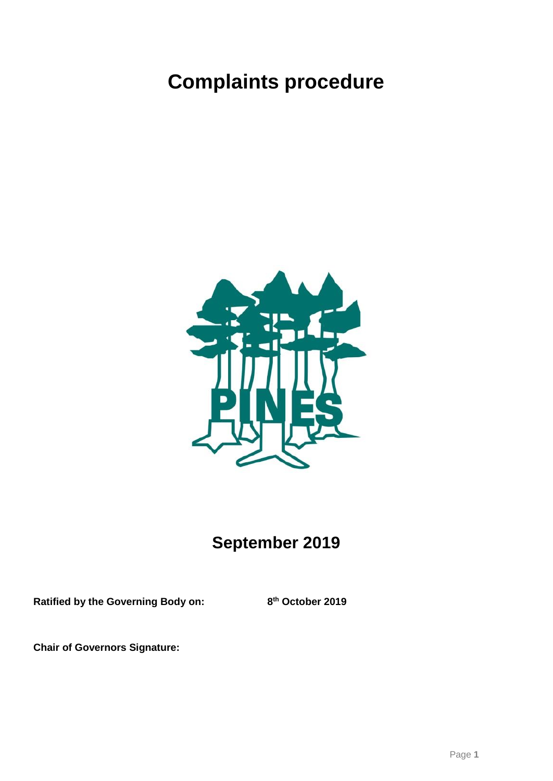# **Complaints procedure**



## **September 2019**

**Ratified by the Governing Body on: 8**

**th October 2019**

**Chair of Governors Signature:**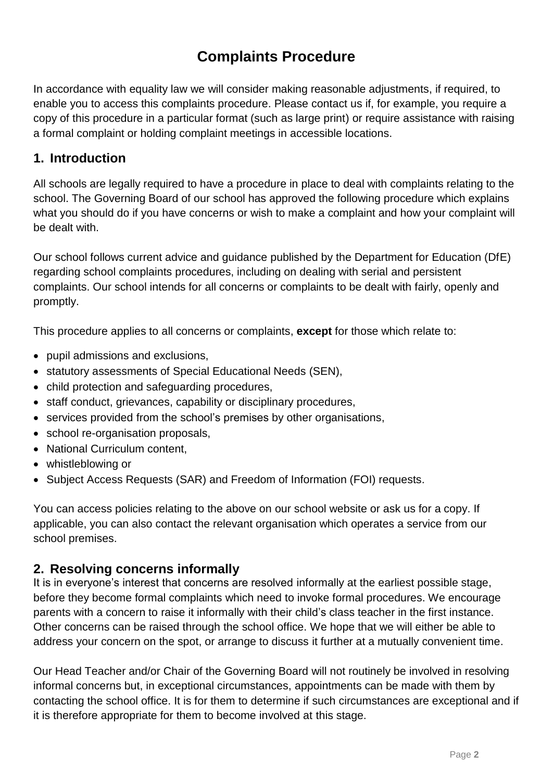### **Complaints Procedure**

In accordance with equality law we will consider making reasonable adjustments, if required, to enable you to access this complaints procedure. Please contact us if, for example, you require a copy of this procedure in a particular format (such as large print) or require assistance with raising a formal complaint or holding complaint meetings in accessible locations.

#### **1. Introduction**

All schools are legally required to have a procedure in place to deal with complaints relating to the school. The Governing Board of our school has approved the following procedure which explains what you should do if you have concerns or wish to make a complaint and how your complaint will be dealt with.

Our school follows current advice and guidance published by the Department for Education (DfE) regarding school complaints procedures, including on dealing with serial and persistent complaints. Our school intends for all concerns or complaints to be dealt with fairly, openly and promptly.

This procedure applies to all concerns or complaints, **except** for those which relate to:

- pupil admissions and exclusions,
- statutory assessments of Special Educational Needs (SEN),
- child protection and safeguarding procedures,
- staff conduct, grievances, capability or disciplinary procedures,
- services provided from the school's premises by other organisations,
- school re-organisation proposals,
- National Curriculum content,
- whistleblowing or
- Subject Access Requests (SAR) and Freedom of Information (FOI) requests.

You can access policies relating to the above on our school website or ask us for a copy. If applicable, you can also contact the relevant organisation which operates a service from our school premises.

#### **2. Resolving concerns informally**

It is in everyone's interest that concerns are resolved informally at the earliest possible stage, before they become formal complaints which need to invoke formal procedures. We encourage parents with a concern to raise it informally with their child's class teacher in the first instance. Other concerns can be raised through the school office. We hope that we will either be able to address your concern on the spot, or arrange to discuss it further at a mutually convenient time.

Our Head Teacher and/or Chair of the Governing Board will not routinely be involved in resolving informal concerns but, in exceptional circumstances, appointments can be made with them by contacting the school office. It is for them to determine if such circumstances are exceptional and if it is therefore appropriate for them to become involved at this stage.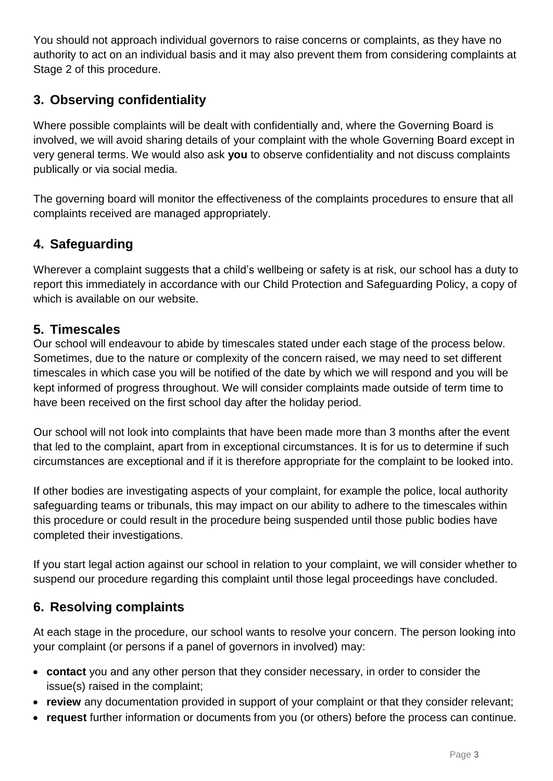You should not approach individual governors to raise concerns or complaints, as they have no authority to act on an individual basis and it may also prevent them from considering complaints at Stage 2 of this procedure.

#### **3. Observing confidentiality**

Where possible complaints will be dealt with confidentially and, where the Governing Board is involved, we will avoid sharing details of your complaint with the whole Governing Board except in very general terms. We would also ask **you** to observe confidentiality and not discuss complaints publically or via social media.

The governing board will monitor the effectiveness of the complaints procedures to ensure that all complaints received are managed appropriately.

#### **4. Safeguarding**

Wherever a complaint suggests that a child's wellbeing or safety is at risk, our school has a duty to report this immediately in accordance with our Child Protection and Safeguarding Policy, a copy of which is available on our website.

#### **5. Timescales**

Our school will endeavour to abide by timescales stated under each stage of the process below. Sometimes, due to the nature or complexity of the concern raised, we may need to set different timescales in which case you will be notified of the date by which we will respond and you will be kept informed of progress throughout. We will consider complaints made outside of term time to have been received on the first school day after the holiday period.

Our school will not look into complaints that have been made more than 3 months after the event that led to the complaint, apart from in exceptional circumstances. It is for us to determine if such circumstances are exceptional and if it is therefore appropriate for the complaint to be looked into.

If other bodies are investigating aspects of your complaint, for example the police, local authority safeguarding teams or tribunals, this may impact on our ability to adhere to the timescales within this procedure or could result in the procedure being suspended until those public bodies have completed their investigations.

If you start legal action against our school in relation to your complaint, we will consider whether to suspend our procedure regarding this complaint until those legal proceedings have concluded.

#### **6. Resolving complaints**

At each stage in the procedure, our school wants to resolve your concern. The person looking into your complaint (or persons if a panel of governors in involved) may:

- **contact** you and any other person that they consider necessary, in order to consider the issue(s) raised in the complaint;
- **review** any documentation provided in support of your complaint or that they consider relevant;
- **request** further information or documents from you (or others) before the process can continue.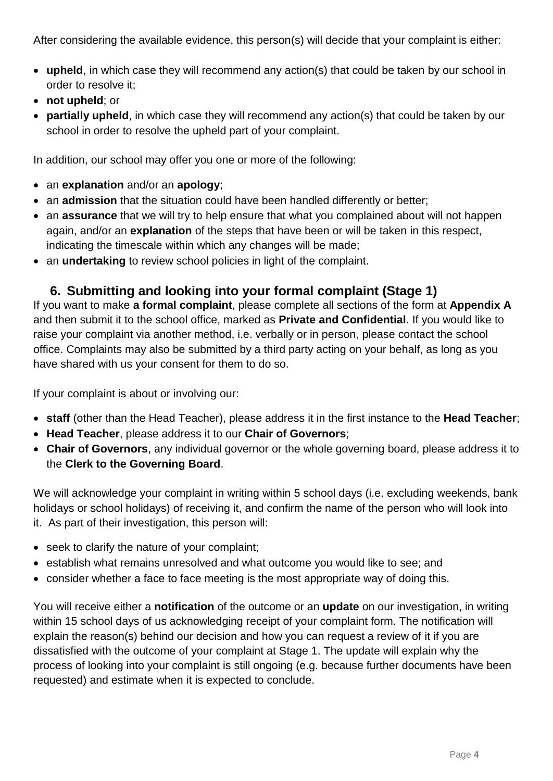After considering the available evidence, this person(s) will decide that your complaint is either:

- **upheld**, in which case they will recommend any action(s) that could be taken by our school in order to resolve it;
- **not upheld**; or
- **partially upheld**, in which case they will recommend any action(s) that could be taken by our school in order to resolve the upheld part of your complaint.

In addition, our school may offer you one or more of the following:

- an **explanation** and/or an **apology**;
- an **admission** that the situation could have been handled differently or better;
- an **assurance** that we will try to help ensure that what you complained about will not happen again, and/or an **explanation** of the steps that have been or will be taken in this respect, indicating the timescale within which any changes will be made;
- an **undertaking** to review school policies in light of the complaint.

#### **6. Submitting and looking into your formal complaint (Stage 1)**

If you want to make **a formal complaint**, please complete all sections of the form at **Appendix A** and then submit it to the school office, marked as **Private and Confidential**. If you would like to raise your complaint via another method, i.e. verbally or in person, please contact the school office. Complaints may also be submitted by a third party acting on your behalf, as long as you have shared with us your consent for them to do so.

If your complaint is about or involving our:

- **staff** (other than the Head Teacher), please address it in the first instance to the **Head Teacher**;
- **Head Teacher**, please address it to our **Chair of Governors**;
- **Chair of Governors**, any individual governor or the whole governing board, please address it to the **Clerk to the Governing Board**.

We will acknowledge your complaint in writing within 5 school days (i.e. excluding weekends, bank holidays or school holidays) of receiving it, and confirm the name of the person who will look into it. As part of their investigation, this person will:

- seek to clarify the nature of your complaint;
- establish what remains unresolved and what outcome you would like to see; and
- consider whether a face to face meeting is the most appropriate way of doing this.

You will receive either a **notification** of the outcome or an **update** on our investigation, in writing within 15 school days of us acknowledging receipt of your complaint form. The notification will explain the reason(s) behind our decision and how you can request a review of it if you are dissatisfied with the outcome of your complaint at Stage 1. The update will explain why the process of looking into your complaint is still ongoing (e.g. because further documents have been requested) and estimate when it is expected to conclude.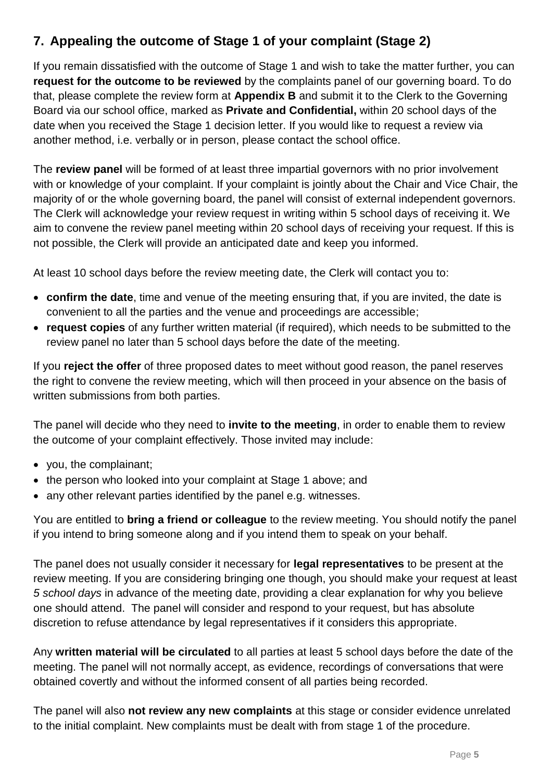#### **7. Appealing the outcome of Stage 1 of your complaint (Stage 2)**

If you remain dissatisfied with the outcome of Stage 1 and wish to take the matter further, you can **request for the outcome to be reviewed** by the complaints panel of our governing board. To do that, please complete the review form at **Appendix B** and submit it to the Clerk to the Governing Board via our school office, marked as **Private and Confidential,** within 20 school days of the date when you received the Stage 1 decision letter. If you would like to request a review via another method, i.e. verbally or in person, please contact the school office.

The **review panel** will be formed of at least three impartial governors with no prior involvement with or knowledge of your complaint. If your complaint is jointly about the Chair and Vice Chair, the majority of or the whole governing board, the panel will consist of external independent governors. The Clerk will acknowledge your review request in writing within 5 school days of receiving it. We aim to convene the review panel meeting within 20 school days of receiving your request. If this is not possible, the Clerk will provide an anticipated date and keep you informed.

At least 10 school days before the review meeting date, the Clerk will contact you to:

- **confirm the date**, time and venue of the meeting ensuring that, if you are invited, the date is convenient to all the parties and the venue and proceedings are accessible;
- **request copies** of any further written material (if required), which needs to be submitted to the review panel no later than 5 school days before the date of the meeting.

If you **reject the offer** of three proposed dates to meet without good reason, the panel reserves the right to convene the review meeting, which will then proceed in your absence on the basis of written submissions from both parties.

The panel will decide who they need to **invite to the meeting**, in order to enable them to review the outcome of your complaint effectively. Those invited may include:

- you, the complainant;
- the person who looked into your complaint at Stage 1 above; and
- any other relevant parties identified by the panel e.g. witnesses.

You are entitled to **bring a friend or colleague** to the review meeting. You should notify the panel if you intend to bring someone along and if you intend them to speak on your behalf.

The panel does not usually consider it necessary for **legal representatives** to be present at the review meeting. If you are considering bringing one though, you should make your request at least *5 school days* in advance of the meeting date, providing a clear explanation for why you believe one should attend. The panel will consider and respond to your request, but has absolute discretion to refuse attendance by legal representatives if it considers this appropriate.

Any **written material will be circulated** to all parties at least 5 school days before the date of the meeting. The panel will not normally accept, as evidence, recordings of conversations that were obtained covertly and without the informed consent of all parties being recorded.

The panel will also **not review any new complaints** at this stage or consider evidence unrelated to the initial complaint. New complaints must be dealt with from stage 1 of the procedure.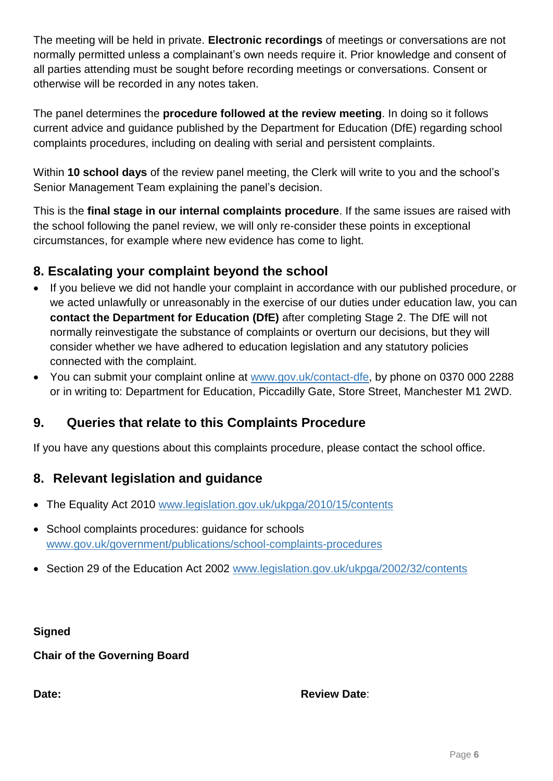The meeting will be held in private. **Electronic recordings** of meetings or conversations are not normally permitted unless a complainant's own needs require it. Prior knowledge and consent of all parties attending must be sought before recording meetings or conversations. Consent or otherwise will be recorded in any notes taken.

The panel determines the **procedure followed at the review meeting**. In doing so it follows current advice and guidance published by the Department for Education (DfE) regarding school complaints procedures, including on dealing with serial and persistent complaints.

Within **10 school days** of the review panel meeting, the Clerk will write to you and the school's Senior Management Team explaining the panel's decision.

This is the **final stage in our internal complaints procedure**. If the same issues are raised with the school following the panel review, we will only re-consider these points in exceptional circumstances, for example where new evidence has come to light.

#### **8. Escalating your complaint beyond the school**

- If you believe we did not handle your complaint in accordance with our published procedure, or we acted unlawfully or unreasonably in the exercise of our duties under education law, you can **contact the Department for Education (DfE)** after completing Stage 2. The DfE will not normally reinvestigate the substance of complaints or overturn our decisions, but they will consider whether we have adhered to education legislation and any statutory policies connected with the complaint.
- You can submit your complaint online at [www.gov.uk/contact-dfe,](http://www.gov.uk/contact-dfe) by phone on 0370 000 2288 or in writing to: Department for Education, Piccadilly Gate, Store Street, Manchester M1 2WD.

#### **9. Queries that relate to this Complaints Procedure**

If you have any questions about this complaints procedure, please contact the school office.

#### **8. Relevant legislation and guidance**

- The Equality Act 2010 [www.legislation.gov.uk/ukpga/2010/15/contents](http://www.legislation.gov.uk/ukpga/2010/15/contents)
- School complaints procedures: guidance for schools [www.gov.uk/government/publications/school-complaints-procedures](http://www.gov.uk/government/publications/school-complaints-procedures)
- Section 29 of the Education Act 2002 [www.legislation.gov.uk/ukpga/2002/32/contents](http://www.legislation.gov.uk/ukpga/2002/32/contents)

**Signed** 

**Chair of the Governing Board**

#### **Date: Date: Review Date: Review Date: Review Date: Review Date: Review Date: Review Date: Review Date: Review Date: Review Date: Review Date: Review Date: Review Date: Review Date: Review Dat**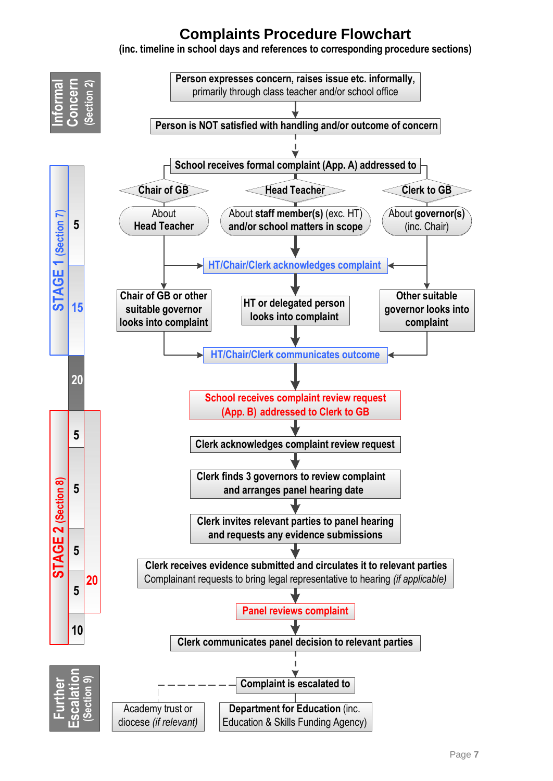## **Complaints Procedure Flowchart**

**(inc. timeline in school days and references to corresponding procedure sections)**

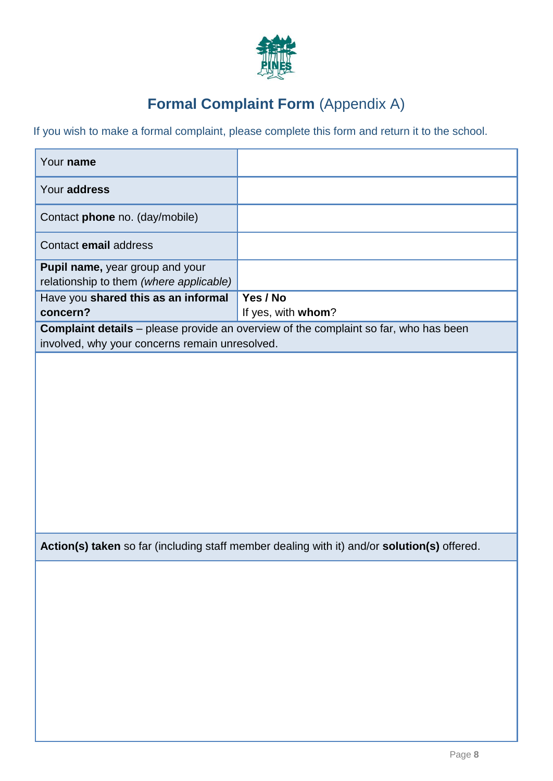

## **Formal Complaint Form** (Appendix A)

If you wish to make a formal complaint, please complete this form and return it to the school.

| Your name                                                                                                                                     |                                                                                             |  |  |
|-----------------------------------------------------------------------------------------------------------------------------------------------|---------------------------------------------------------------------------------------------|--|--|
| Your address                                                                                                                                  |                                                                                             |  |  |
| Contact phone no. (day/mobile)                                                                                                                |                                                                                             |  |  |
| Contact email address                                                                                                                         |                                                                                             |  |  |
| Pupil name, year group and your<br>relationship to them (where applicable)                                                                    |                                                                                             |  |  |
| Have you shared this as an informal<br>concern?                                                                                               | Yes / No<br>If yes, with whom?                                                              |  |  |
| <b>Complaint details</b> - please provide an overview of the complaint so far, who has been<br>involved, why your concerns remain unresolved. |                                                                                             |  |  |
|                                                                                                                                               |                                                                                             |  |  |
|                                                                                                                                               |                                                                                             |  |  |
|                                                                                                                                               |                                                                                             |  |  |
|                                                                                                                                               |                                                                                             |  |  |
|                                                                                                                                               |                                                                                             |  |  |
|                                                                                                                                               |                                                                                             |  |  |
|                                                                                                                                               | Action(s) taken so far (including staff member dealing with it) and/or solution(s) offered. |  |  |
|                                                                                                                                               |                                                                                             |  |  |
|                                                                                                                                               |                                                                                             |  |  |
|                                                                                                                                               |                                                                                             |  |  |
|                                                                                                                                               |                                                                                             |  |  |
|                                                                                                                                               |                                                                                             |  |  |
|                                                                                                                                               |                                                                                             |  |  |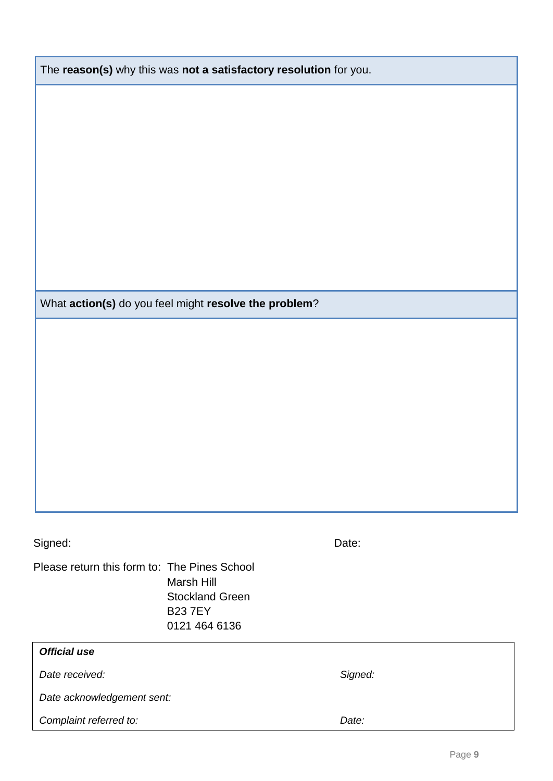| What action(s) do you feel might resolve the problem? |                                |         |        |
|-------------------------------------------------------|--------------------------------|---------|--------|
|                                                       |                                |         |        |
|                                                       |                                |         |        |
|                                                       |                                |         |        |
|                                                       |                                |         |        |
|                                                       |                                |         |        |
|                                                       |                                |         |        |
|                                                       |                                |         |        |
|                                                       |                                |         |        |
|                                                       |                                |         |        |
| Signed:                                               |                                | Date:   |        |
| Please return this form to: The Pines School          | Marsh Hill                     |         |        |
|                                                       | <b>Stockland Green</b>         |         |        |
|                                                       | <b>B237EY</b><br>0121 464 6136 |         |        |
| <b>Official use</b>                                   |                                |         |        |
| Date received:                                        |                                | Signed: |        |
| Date acknowledgement sent:                            |                                |         |        |
| Complaint referred to:                                |                                | Date:   |        |
|                                                       |                                |         |        |
|                                                       |                                |         | Page 9 |

The **reason(s)** why this was **not a satisfactory resolution** for you.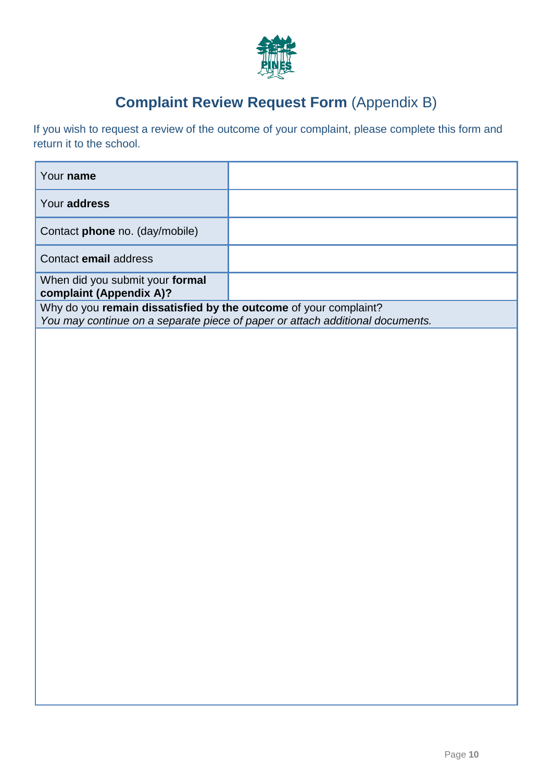

## **Complaint Review Request Form** (Appendix B)

If you wish to request a review of the outcome of your complaint, please complete this form and return it to the school.

| Your name                                                                                                                                         |  |  |
|---------------------------------------------------------------------------------------------------------------------------------------------------|--|--|
| Your address                                                                                                                                      |  |  |
| Contact <b>phone</b> no. (day/mobile)                                                                                                             |  |  |
| Contact email address                                                                                                                             |  |  |
| When did you submit your formal<br>complaint (Appendix A)?                                                                                        |  |  |
| Why do you remain dissatisfied by the outcome of your complaint?<br>You may continue on a separate piece of paper or attach additional documents. |  |  |
|                                                                                                                                                   |  |  |